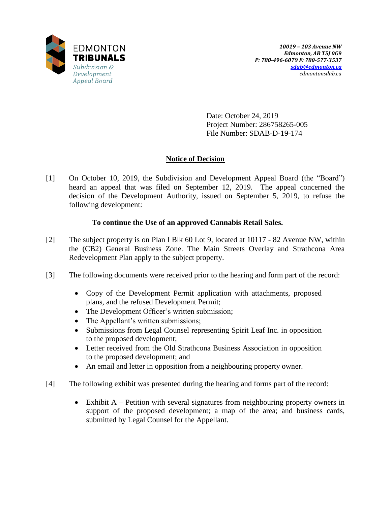

Date: October 24, 2019 Project Number: 286758265-005 File Number: SDAB-D-19-174

## **Notice of Decision**

[1] On October 10, 2019, the Subdivision and Development Appeal Board (the "Board") heard an appeal that was filed on September 12, 2019. The appeal concerned the decision of the Development Authority, issued on September 5, 2019, to refuse the following development:

## **To continue the Use of an approved Cannabis Retail Sales.**

- [2] The subject property is on Plan I Blk 60 Lot 9, located at 10117 82 Avenue NW, within the (CB2) General Business Zone. The Main Streets Overlay and Strathcona Area Redevelopment Plan apply to the subject property.
- [3] The following documents were received prior to the hearing and form part of the record:
	- Copy of the Development Permit application with attachments, proposed plans, and the refused Development Permit;
	- The Development Officer's written submission;
	- The Appellant's written submissions;
	- Submissions from Legal Counsel representing Spirit Leaf Inc. in opposition to the proposed development;
	- Letter received from the Old Strathcona Business Association in opposition to the proposed development; and
	- An email and letter in opposition from a neighbouring property owner.
- [4] The following exhibit was presented during the hearing and forms part of the record:
	- Exhibit A Petition with several signatures from neighbouring property owners in support of the proposed development; a map of the area; and business cards, submitted by Legal Counsel for the Appellant.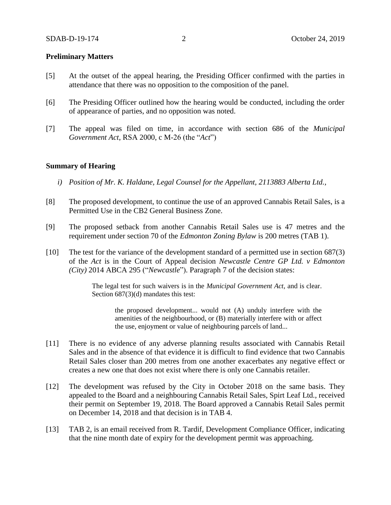### **Preliminary Matters**

- [5] At the outset of the appeal hearing, the Presiding Officer confirmed with the parties in attendance that there was no opposition to the composition of the panel.
- [6] The Presiding Officer outlined how the hearing would be conducted, including the order of appearance of parties, and no opposition was noted.
- [7] The appeal was filed on time, in accordance with section 686 of the *Municipal Government Act*, RSA 2000, c M-26 (the "*Act*")

#### **Summary of Hearing**

- *i) Position of Mr. K. Haldane, Legal Counsel for the Appellant, 2113883 Alberta Ltd.,*
- [8] The proposed development, to continue the use of an approved Cannabis Retail Sales, is a Permitted Use in the CB2 General Business Zone.
- [9] The proposed setback from another Cannabis Retail Sales use is 47 metres and the requirement under section 70 of the *Edmonton Zoning Bylaw* is 200 metres (TAB 1).
- [10] The test for the variance of the development standard of a permitted use in section 687(3) of the *Act* is in the Court of Appeal decision *Newcastle Centre GP Ltd. v Edmonton (City)* 2014 ABCA 295 ("*Newcastle*"). Paragraph 7 of the decision states:

The legal test for such waivers is in the *Municipal Government Act*, and is clear. Section 687(3)(d) mandates this test:

the proposed development... would not (A) unduly interfere with the amenities of the neighbourhood, or (B) materially interfere with or affect the use, enjoyment or value of neighbouring parcels of land...

- [11] There is no evidence of any adverse planning results associated with Cannabis Retail Sales and in the absence of that evidence it is difficult to find evidence that two Cannabis Retail Sales closer than 200 metres from one another exacerbates any negative effect or creates a new one that does not exist where there is only one Cannabis retailer.
- [12] The development was refused by the City in October 2018 on the same basis. They appealed to the Board and a neighbouring Cannabis Retail Sales, Spirt Leaf Ltd., received their permit on September 19, 2018. The Board approved a Cannabis Retail Sales permit on December 14, 2018 and that decision is in TAB 4.
- [13] TAB 2, is an email received from R. Tardif, Development Compliance Officer, indicating that the nine month date of expiry for the development permit was approaching.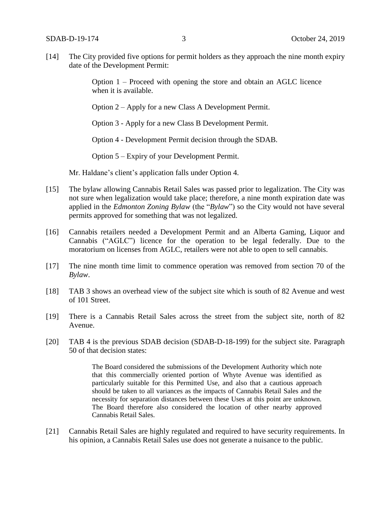[14] The City provided five options for permit holders as they approach the nine month expiry date of the Development Permit:

> Option 1 – Proceed with opening the store and obtain an AGLC licence when it is available.

Option 2 – Apply for a new Class A Development Permit.

Option 3 - Apply for a new Class B Development Permit.

Option 4 - Development Permit decision through the SDAB.

Option 5 – Expiry of your Development Permit.

Mr. Haldane's client's application falls under Option 4.

- [15] The bylaw allowing Cannabis Retail Sales was passed prior to legalization. The City was not sure when legalization would take place; therefore, a nine month expiration date was applied in the *Edmonton Zoning Bylaw* (the "*Bylaw*") so the City would not have several permits approved for something that was not legalized.
- [16] Cannabis retailers needed a Development Permit and an Alberta Gaming, Liquor and Cannabis ("AGLC") licence for the operation to be legal federally. Due to the moratorium on licenses from AGLC, retailers were not able to open to sell cannabis.
- [17] The nine month time limit to commence operation was removed from section 70 of the *Bylaw*.
- [18] TAB 3 shows an overhead view of the subject site which is south of 82 Avenue and west of 101 Street.
- [19] There is a Cannabis Retail Sales across the street from the subject site, north of 82 Avenue.
- [20] TAB 4 is the previous SDAB decision (SDAB-D-18-199) for the subject site. Paragraph 50 of that decision states:

The Board considered the submissions of the Development Authority which note that this commercially oriented portion of Whyte Avenue was identified as particularly suitable for this Permitted Use, and also that a cautious approach should be taken to all variances as the impacts of Cannabis Retail Sales and the necessity for separation distances between these Uses at this point are unknown. The Board therefore also considered the location of other nearby approved Cannabis Retail Sales.

[21] Cannabis Retail Sales are highly regulated and required to have security requirements. In his opinion, a Cannabis Retail Sales use does not generate a nuisance to the public.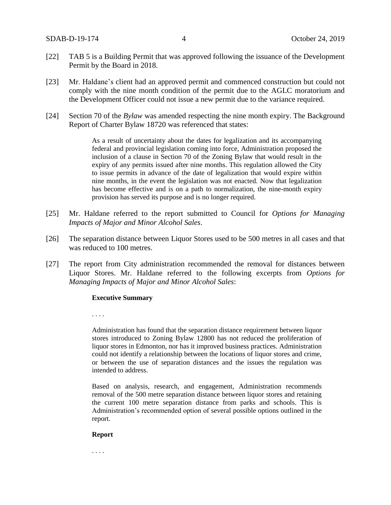- [22] TAB 5 is a Building Permit that was approved following the issuance of the Development Permit by the Board in 2018.
- [23] Mr. Haldane's client had an approved permit and commenced construction but could not comply with the nine month condition of the permit due to the AGLC moratorium and the Development Officer could not issue a new permit due to the variance required.
- [24] Section 70 of the *Bylaw* was amended respecting the nine month expiry. The Background Report of Charter Bylaw 18720 was referenced that states:

As a result of uncertainty about the dates for legalization and its accompanying federal and provincial legislation coming into force, Administration proposed the inclusion of a clause in Section 70 of the Zoning Bylaw that would result in the expiry of any permits issued after nine months. This regulation allowed the City to issue permits in advance of the date of legalization that would expire within nine months, in the event the legislation was not enacted. Now that legalization has become effective and is on a path to normalization, the nine-month expiry provision has served its purpose and is no longer required.

- [25] Mr. Haldane referred to the report submitted to Council for *Options for Managing Impacts of Major and Minor Alcohol Sales*.
- [26] The separation distance between Liquor Stores used to be 500 metres in all cases and that was reduced to 100 metres.
- [27] The report from City administration recommended the removal for distances between Liquor Stores. Mr. Haldane referred to the following excerpts from *Options for Managing Impacts of Major and Minor Alcohol Sales*:

#### **Executive Summary**

. . . .

Administration has found that the separation distance requirement between liquor stores introduced to Zoning Bylaw 12800 has not reduced the proliferation of liquor stores in Edmonton, nor has it improved business practices. Administration could not identify a relationship between the locations of liquor stores and crime, or between the use of separation distances and the issues the regulation was intended to address.

Based on analysis, research, and engagement, Administration recommends removal of the 500 metre separation distance between liquor stores and retaining the current 100 metre separation distance from parks and schools. This is Administration's recommended option of several possible options outlined in the report.

#### **Report**

. . . .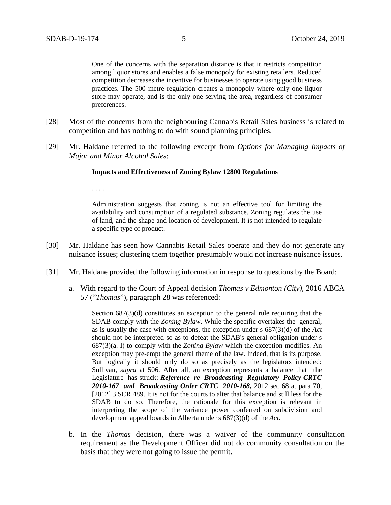One of the concerns with the separation distance is that it restricts competition among liquor stores and enables a false monopoly for existing retailers. Reduced competition decreases the incentive for businesses to operate using good business practices. The 500 metre regulation creates a monopoly where only one liquor store may operate, and is the only one serving the area, regardless of consumer preferences.

- [28] Most of the concerns from the neighbouring Cannabis Retail Sales business is related to competition and has nothing to do with sound planning principles.
- [29] Mr. Haldane referred to the following excerpt from *Options for Managing Impacts of Major and Minor Alcohol Sales*:

#### **Impacts and Effectiveness of Zoning Bylaw 12800 Regulations**

. . . .

Administration suggests that zoning is not an effective tool for limiting the availability and consumption of a regulated substance. Zoning regulates the use of land, and the shape and location of development. It is not intended to regulate a specific type of product.

- [30] Mr. Haldane has seen how Cannabis Retail Sales operate and they do not generate any nuisance issues; clustering them together presumably would not increase nuisance issues.
- [31] Mr. Haldane provided the following information in response to questions by the Board:
	- a. With regard to the Court of Appeal decision *Thomas v Edmonton (City),* 2016 ABCA 57 ("*Thomas*"), paragraph 28 was referenced:

Section  $687(3)(d)$  constitutes an exception to the general rule requiring that the SDAB comply with the *Zoning Bylaw*. While the specific overtakes the general, as is usually the case with exceptions, the exception under s 687(3)(d) of the *Act* should not be interpreted so as to defeat the SDAB's general obligation under s 687(3)(a. I) to comply with the *Zoning Bylaw* which the exception modifies. An exception may pre-empt the general theme of the law. Indeed, that is its purpose. But logically it should only do so as precisely as the legislators intended: Sullivan, *supra* at 506. After all, an exception represents a balance that the Legislature has struck: *Reference re Broadcasting Regulatory Policy CRTC 2010-167 and Broadcasting Order CRTC 2010-168***,** 2012 sec 68 at para 70, [2012] 3 SCR 489. It is not for the courts to alter that balance and still less for the SDAB to do so. Therefore, the rationale for this exception is relevant in interpreting the scope of the variance power conferred on subdivision and development appeal boards in Alberta under s 687(3)(d) of the *Act*.

b. In the *Thomas* decision, there was a waiver of the community consultation requirement as the Development Officer did not do community consultation on the basis that they were not going to issue the permit.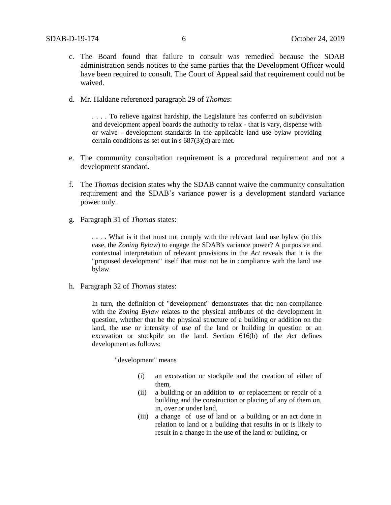- c. The Board found that failure to consult was remedied because the SDAB administration sends notices to the same parties that the Development Officer would have been required to consult. The Court of Appeal said that requirement could not be waived.
- d. Mr. Haldane referenced paragraph 29 of *Thomas*:

. . . . To relieve against hardship, the Legislature has conferred on subdivision and development appeal boards the authority to relax - that is vary, dispense with or waive - development standards in the applicable land use bylaw providing certain conditions as set out in s 687(3)(d) are met.

- e. The community consultation requirement is a procedural requirement and not a development standard.
- f. The *Thomas* decision states why the SDAB cannot waive the community consultation requirement and the SDAB's variance power is a development standard variance power only.
- g. Paragraph 31 of *Thomas* states:

. . . . What is it that must not comply with the relevant land use bylaw (in this case, the *Zoning Bylaw*) to engage the SDAB's variance power? A purposive and contextual interpretation of relevant provisions in the *Act* reveals that it is the "proposed development" itself that must not be in compliance with the land use bylaw.

h. Paragraph 32 of *Thomas* states:

In turn, the definition of "development" demonstrates that the non-compliance with the *Zoning Bylaw* relates to the physical attributes of the development in question, whether that be the physical structure of a building or addition on the land, the use or intensity of use of the land or building in question or an excavation or stockpile on the land. Section 616(b) of the *Act* defines development as follows:

"development" means

- (i) an excavation or stockpile and the creation of either of them,
- (ii) a building or an addition to or replacement or repair of a building and the construction or placing of any of them on, in, over or under land,
- (iii) a change of use of land or a building or an act done in relation to land or a building that results in or is likely to result in a change in the use of the land or building, or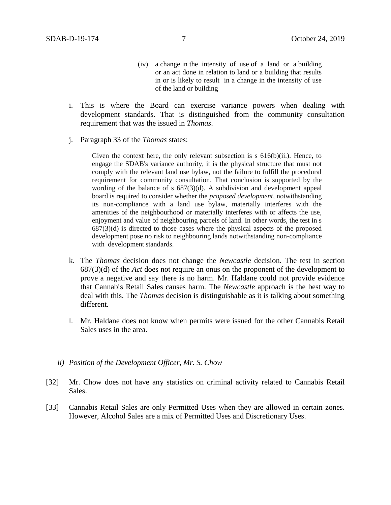- (iv) a change in the intensity of use of a land or a building or an act done in relation to land or a building that results in or is likely to result in a change in the intensity of use of the land or building
- i. This is where the Board can exercise variance powers when dealing with development standards. That is distinguished from the community consultation requirement that was the issued in *Thomas*.
- j. Paragraph 33 of the *Thomas* states:

Given the context here, the only relevant subsection is  $s$  616(b)(ii.). Hence, to engage the SDAB's variance authority, it is the physical structure that must not comply with the relevant land use bylaw, not the failure to fulfill the procedural requirement for community consultation. That conclusion is supported by the wording of the balance of s 687(3)(d). A subdivision and development appeal board is required to consider whether the *proposed development,* notwithstanding its non-compliance with a land use bylaw, materially interferes with the amenities of the neighbourhood or materially interferes with or affects the use, enjoyment and value of neighbouring parcels of land. In other words, the test in s 687(3)(d) is directed to those cases where the physical aspects of the proposed development pose no risk to neighbouring lands notwithstanding non-compliance with development standards.

- k. The *Thomas* decision does not change the *Newcastle* decision. The test in section 687(3)(d) of the *Act* does not require an onus on the proponent of the development to prove a negative and say there is no harm. Mr. Haldane could not provide evidence that Cannabis Retail Sales causes harm. The *Newcastle* approach is the best way to deal with this. The *Thomas* decision is distinguishable as it is talking about something different.
- l. Mr. Haldane does not know when permits were issued for the other Cannabis Retail Sales uses in the area.
- *ii) Position of the Development Officer, Mr. S. Chow*
- [32] Mr. Chow does not have any statistics on criminal activity related to Cannabis Retail Sales.
- [33] Cannabis Retail Sales are only Permitted Uses when they are allowed in certain zones. However, Alcohol Sales are a mix of Permitted Uses and Discretionary Uses.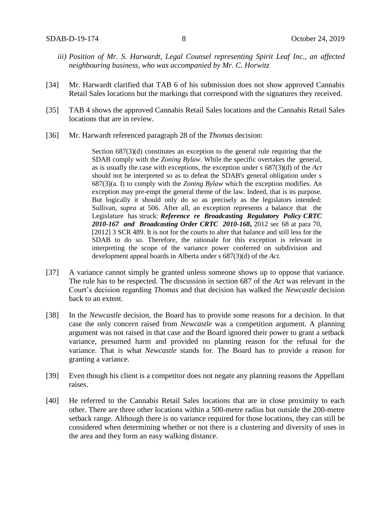- *iii) Position of Mr. S. Harwardt, Legal Counsel representing Spirit Leaf Inc., an affected neighbouring business, who was accompanied by Mr. C. Horwitz*
- [34] Mr. Harwardt clarified that TAB 6 of his submission does not show approved Cannabis Retail Sales locations but the markings that correspond with the signatures they received.
- [35] TAB 4 shows the approved Cannabis Retail Sales locations and the Cannabis Retail Sales locations that are in review.
- [36] Mr. Harwardt referenced paragraph 28 of the *Thomas* decision:

Section  $687(3)(d)$  constitutes an exception to the general rule requiring that the SDAB comply with the *Zoning Bylaw*. While the specific overtakes the general, as is usually the case with exceptions, the exception under s 687(3)(d) of the *Act* should not be interpreted so as to defeat the SDAB's general obligation under s 687(3)(a. I) to comply with the *Zoning Bylaw* which the exception modifies. An exception may pre-empt the general theme of the law. Indeed, that is its purpose. But logically it should only do so as precisely as the legislators intended: Sullivan, *supra* at 506. After all, an exception represents a balance that the Legislature has struck: *Reference re Broadcasting Regulatory Policy CRTC 2010-167 and Broadcasting Order CRTC 2010-168***,** 2012 sec 68 at para 70, [2012] 3 SCR 489. It is not for the courts to alter that balance and still less for the SDAB to do so. Therefore, the rationale for this exception is relevant in interpreting the scope of the variance power conferred on subdivision and development appeal boards in Alberta under s 687(3)(d) of the *Act*.

- [37] A variance cannot simply be granted unless someone shows up to oppose that variance. The rule has to be respected. The discussion in section 687 of the *Act* was relevant in the Court's decision regarding *Thomas* and that decision has walked the *Newcastle* decision back to an extent.
- [38] In the *Newcastle* decision, the Board has to provide some reasons for a decision. In that case the only concern raised from *Newcastle* was a competition argument. A planning argument was not raised in that case and the Board ignored their power to grant a setback variance, presumed harm and provided no planning reason for the refusal for the variance. That is what *Newcastle* stands for. The Board has to provide a reason for granting a variance.
- [39] Even though his client is a competitor does not negate any planning reasons the Appellant raises.
- [40] He referred to the Cannabis Retail Sales locations that are in close proximity to each other. There are three other locations within a 500-metre radius but outside the 200-metre setback range. Although there is no variance required for those locations, they can still be considered when determining whether or not there is a clustering and diversity of uses in the area and they form an easy walking distance.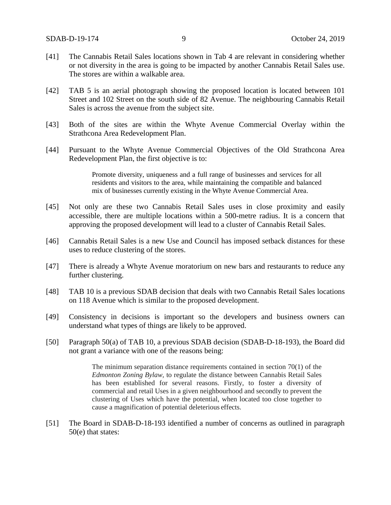- [41] The Cannabis Retail Sales locations shown in Tab 4 are relevant in considering whether or not diversity in the area is going to be impacted by another Cannabis Retail Sales use. The stores are within a walkable area.
- [42] TAB 5 is an aerial photograph showing the proposed location is located between 101 Street and 102 Street on the south side of 82 Avenue. The neighbouring Cannabis Retail Sales is across the avenue from the subject site.
- [43] Both of the sites are within the Whyte Avenue Commercial Overlay within the Strathcona Area Redevelopment Plan.
- [44] Pursuant to the Whyte Avenue Commercial Objectives of the Old Strathcona Area Redevelopment Plan, the first objective is to:

Promote diversity, uniqueness and a full range of businesses and services for all residents and visitors to the area, while maintaining the compatible and balanced mix of businesses currently existing in the Whyte Avenue Commercial Area.

- [45] Not only are these two Cannabis Retail Sales uses in close proximity and easily accessible, there are multiple locations within a 500-metre radius. It is a concern that approving the proposed development will lead to a cluster of Cannabis Retail Sales.
- [46] Cannabis Retail Sales is a new Use and Council has imposed setback distances for these uses to reduce clustering of the stores.
- [47] There is already a Whyte Avenue moratorium on new bars and restaurants to reduce any further clustering.
- [48] TAB 10 is a previous SDAB decision that deals with two Cannabis Retail Sales locations on 118 Avenue which is similar to the proposed development.
- [49] Consistency in decisions is important so the developers and business owners can understand what types of things are likely to be approved.
- [50] Paragraph 50(a) of TAB 10, a previous SDAB decision (SDAB-D-18-193), the Board did not grant a variance with one of the reasons being:

The minimum separation distance requirements contained in section 70(1) of the *Edmonton Zoning Bylaw,* to regulate the distance between Cannabis Retail Sales has been established for several reasons. Firstly, to foster a diversity of commercial and retail Uses in a given neighbourhood and secondly to prevent the clustering of Uses which have the potential, when located too close together to cause a magnification of potential deleterious effects.

[51] The Board in SDAB-D-18-193 identified a number of concerns as outlined in paragraph 50(e) that states: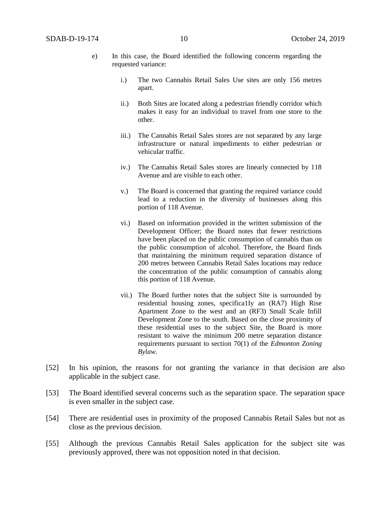- e) In this case, the Board identified the following concerns regarding the requested variance:
	- i.) The two Cannabis Retail Sales Use sites are only 156 metres apart.
	- ii.) Both Sites are located along a pedestrian friendly corridor which makes it easy for an individual to travel from one store to the other.
	- iii.) The Cannabis Retail Sales stores are not separated by any large infrastructure or natural impediments to either pedestrian or vehicular traffic.
	- iv.) The Cannabis Retail Sales stores are linearly connected by 118 Avenue and are visible to each other.
	- v.) The Board is concerned that granting the required variance could lead to a reduction in the diversity of businesses along this portion of 118 Avenue.
	- vi.) Based on information provided in the written submission of the Development Officer; the Board notes that fewer restrictions have been placed on the public consumption of cannabis than on the public consumption of alcohol. Therefore, the Board finds that maintaining the minimum required separation distance of 200 metres between Cannabis Retail Sales locations may reduce the concentration of the public consumption of cannabis along this portion of 118 Avenue.
	- vii.) The Board further notes that the subject Site is surrounded by residential housing zones, specifica1Iy an (RA7) High Rise Apartment Zone to the west and an (RF3) Small Scale Infill Development Zone to the south. Based on the close proximity of these residential uses to the subject Site, the Board is more resistant to waive the minimum 200 metre separation distance requirements pursuant to section 70(1) of the *Edmonton Zoning Bylaw*.
- [52] In his opinion, the reasons for not granting the variance in that decision are also applicable in the subject case.
- [53] The Board identified several concerns such as the separation space. The separation space is even smaller in the subject case.
- [54] There are residential uses in proximity of the proposed Cannabis Retail Sales but not as close as the previous decision.
- [55] Although the previous Cannabis Retail Sales application for the subject site was previously approved, there was not opposition noted in that decision.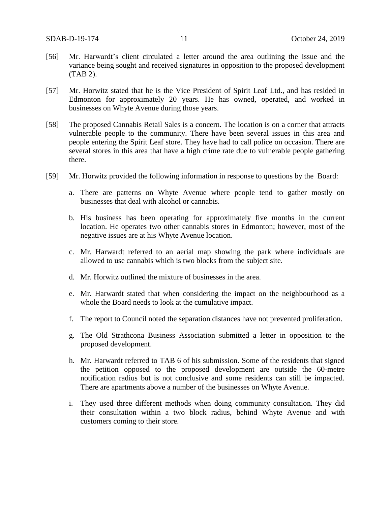- [56] Mr. Harwardt's client circulated a letter around the area outlining the issue and the variance being sought and received signatures in opposition to the proposed development (TAB 2).
- [57] Mr. Horwitz stated that he is the Vice President of Spirit Leaf Ltd., and has resided in Edmonton for approximately 20 years. He has owned, operated, and worked in businesses on Whyte Avenue during those years.
- [58] The proposed Cannabis Retail Sales is a concern. The location is on a corner that attracts vulnerable people to the community. There have been several issues in this area and people entering the Spirit Leaf store. They have had to call police on occasion. There are several stores in this area that have a high crime rate due to vulnerable people gathering there.
- [59] Mr. Horwitz provided the following information in response to questions by the Board:
	- a. There are patterns on Whyte Avenue where people tend to gather mostly on businesses that deal with alcohol or cannabis.
	- b. His business has been operating for approximately five months in the current location. He operates two other cannabis stores in Edmonton; however, most of the negative issues are at his Whyte Avenue location.
	- c. Mr. Harwardt referred to an aerial map showing the park where individuals are allowed to use cannabis which is two blocks from the subject site.
	- d. Mr. Horwitz outlined the mixture of businesses in the area.
	- e. Mr. Harwardt stated that when considering the impact on the neighbourhood as a whole the Board needs to look at the cumulative impact.
	- f. The report to Council noted the separation distances have not prevented proliferation.
	- g. The Old Strathcona Business Association submitted a letter in opposition to the proposed development.
	- h. Mr. Harwardt referred to TAB 6 of his submission. Some of the residents that signed the petition opposed to the proposed development are outside the 60-metre notification radius but is not conclusive and some residents can still be impacted. There are apartments above a number of the businesses on Whyte Avenue.
	- i. They used three different methods when doing community consultation. They did their consultation within a two block radius, behind Whyte Avenue and with customers coming to their store.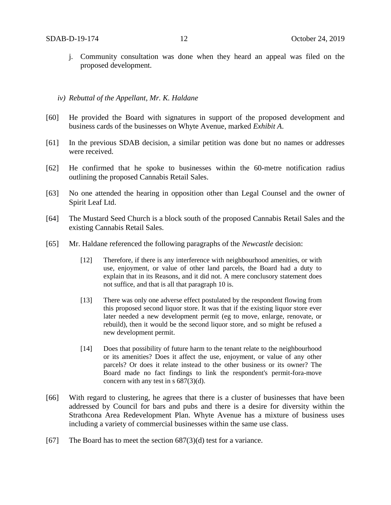- j. Community consultation was done when they heard an appeal was filed on the proposed development.
- *iv) Rebuttal of the Appellant, Mr. K. Haldane*
- [60] He provided the Board with signatures in support of the proposed development and business cards of the businesses on Whyte Avenue, marked *Exhibit A*.
- [61] In the previous SDAB decision, a similar petition was done but no names or addresses were received.
- [62] He confirmed that he spoke to businesses within the 60-metre notification radius outlining the proposed Cannabis Retail Sales.
- [63] No one attended the hearing in opposition other than Legal Counsel and the owner of Spirit Leaf Ltd.
- [64] The Mustard Seed Church is a block south of the proposed Cannabis Retail Sales and the existing Cannabis Retail Sales.
- [65] Mr. Haldane referenced the following paragraphs of the *Newcastle* decision:
	- [12] Therefore, if there is any interference with neighbourhood amenities, or with use, enjoyment, or value of other land parcels, the Board had a duty to explain that in its Reasons, and it did not. A mere conclusory statement does not suffice, and that is all that paragraph 10 is.
	- [13] There was only one adverse effect postulated by the respondent flowing from this proposed second liquor store. It was that if the existing liquor store ever later needed a new development permit (eg to move, enlarge, renovate, or rebuild), then it would be the second liquor store, and so might be refused a new development permit.
	- [14] Does that possibility of future harm to the tenant relate to the neighbourhood or its amenities? Does it affect the use, enjoyment, or value of any other parcels? Or does it relate instead to the other business or its owner? The Board made no fact findings to link the respondent's permit-fora-move concern with any test in s 687(3)(d).
- [66] With regard to clustering, he agrees that there is a cluster of businesses that have been addressed by Council for bars and pubs and there is a desire for diversity within the Strathcona Area Redevelopment Plan. Whyte Avenue has a mixture of business uses including a variety of commercial businesses within the same use class.
- [67] The Board has to meet the section  $687(3)(d)$  test for a variance.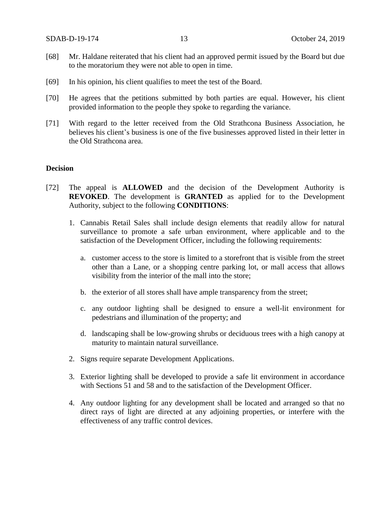- [68] Mr. Haldane reiterated that his client had an approved permit issued by the Board but due to the moratorium they were not able to open in time.
- [69] In his opinion, his client qualifies to meet the test of the Board.
- [70] He agrees that the petitions submitted by both parties are equal. However, his client provided information to the people they spoke to regarding the variance.
- [71] With regard to the letter received from the Old Strathcona Business Association, he believes his client's business is one of the five businesses approved listed in their letter in the Old Strathcona area.

### **Decision**

- [72] The appeal is **ALLOWED** and the decision of the Development Authority is **REVOKED**. The development is **GRANTED** as applied for to the Development Authority, subject to the following **CONDITIONS**:
	- 1. Cannabis Retail Sales shall include design elements that readily allow for natural surveillance to promote a safe urban environment, where applicable and to the satisfaction of the Development Officer, including the following requirements:
		- a. customer access to the store is limited to a storefront that is visible from the street other than a Lane, or a shopping centre parking lot, or mall access that allows visibility from the interior of the mall into the store;
		- b. the exterior of all stores shall have ample transparency from the street;
		- c. any outdoor lighting shall be designed to ensure a well-lit environment for pedestrians and illumination of the property; and
		- d. landscaping shall be low-growing shrubs or deciduous trees with a high canopy at maturity to maintain natural surveillance.
	- 2. Signs require separate Development Applications.
	- 3. Exterior lighting shall be developed to provide a safe lit environment in accordance with Sections 51 and 58 and to the satisfaction of the Development Officer.
	- 4. Any outdoor lighting for any development shall be located and arranged so that no direct rays of light are directed at any adjoining properties, or interfere with the effectiveness of any traffic control devices.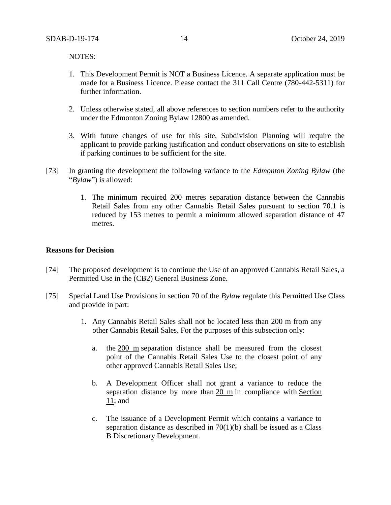NOTES:

- 1. This Development Permit is NOT a Business Licence. A separate application must be made for a Business Licence. Please contact the 311 Call Centre (780-442-5311) for further information.
- 2. Unless otherwise stated, all above references to section numbers refer to the authority under the Edmonton Zoning Bylaw 12800 as amended.
- 3. With future changes of use for this site, Subdivision Planning will require the applicant to provide parking justification and conduct observations on site to establish if parking continues to be sufficient for the site.
- [73] In granting the development the following variance to the *Edmonton Zoning Bylaw* (the "*Bylaw*") is allowed:
	- 1. The minimum required 200 metres separation distance between the Cannabis Retail Sales from any other Cannabis Retail Sales pursuant to section 70.1 is reduced by 153 metres to permit a minimum allowed separation distance of 47 metres.

### **Reasons for Decision**

- [74] The proposed development is to continue the Use of an approved Cannabis Retail Sales, a Permitted Use in the (CB2) General Business Zone.
- [75] Special Land Use Provisions in section 70 of the *Bylaw* regulate this Permitted Use Class and provide in part:
	- 1. Any Cannabis Retail Sales shall not be located less than 200 m from any other Cannabis Retail Sales. For the purposes of this subsection only:
		- a. the [200](javascript:void(0);) m separation distance shall be measured from the closest point of the Cannabis Retail Sales Use to the closest point of any other approved Cannabis Retail Sales Use;
		- b. A Development Officer shall not grant a variance to reduce the separation distance by more than [20 m](javascript:void(0);) in compliance with [Section](https://webdocs.edmonton.ca/InfraPlan/zoningbylaw/ZoningBylaw/Part1/Administrative/11__Authority_and_Responsibility_of_the_Development_Officer.htm)  [11;](https://webdocs.edmonton.ca/InfraPlan/zoningbylaw/ZoningBylaw/Part1/Administrative/11__Authority_and_Responsibility_of_the_Development_Officer.htm) and
		- c. The issuance of a Development Permit which contains a variance to separation distance as described in 70(1)(b) shall be issued as a Class B Discretionary Development.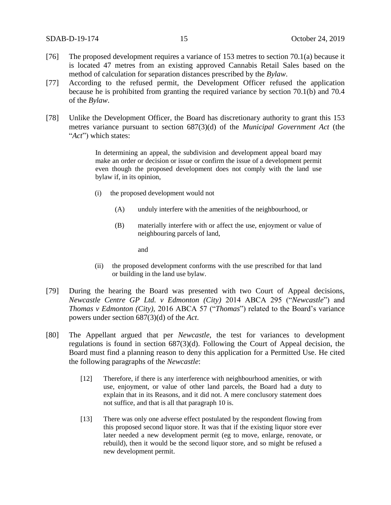- [76] The proposed development requires a variance of 153 metres to section 70.1(a) because it is located 47 metres from an existing approved Cannabis Retail Sales based on the method of calculation for separation distances prescribed by the *Bylaw*.
- [77] According to the refused permit, the Development Officer refused the application because he is prohibited from granting the required variance by section 70.1(b) and 70.4 of the *Bylaw*.
- [78] Unlike the Development Officer, the Board has discretionary authority to grant this 153 metres variance pursuant to section 687(3)(d) of the *Municipal Government Act* (the "*Act*") which states:

In determining an appeal, the subdivision and development appeal board may make an order or decision or issue or confirm the issue of a development permit even though the proposed development does not comply with the land use bylaw if, in its opinion,

- (i) the proposed development would not
	- (A) unduly interfere with the amenities of the neighbourhood, or
	- (B) materially interfere with or affect the use, enjoyment or value of neighbouring parcels of land,

and

- (ii) the proposed development conforms with the use prescribed for that land or building in the land use bylaw.
- [79] During the hearing the Board was presented with two Court of Appeal decisions, *Newcastle Centre GP Ltd. v Edmonton (City)* 2014 ABCA 295 ("*Newcastle*") and *Thomas v Edmonton (City),* 2016 ABCA 57 ("*Thomas*") related to the Board's variance powers under section 687(3)(d) of the *Act*.
- [80] The Appellant argued that per *Newcastle,* the test for variances to development regulations is found in section 687(3)(d). Following the Court of Appeal decision, the Board must find a planning reason to deny this application for a Permitted Use. He cited the following paragraphs of the *Newcastle*:
	- [12] Therefore, if there is any interference with neighbourhood amenities, or with use, enjoyment, or value of other land parcels, the Board had a duty to explain that in its Reasons, and it did not. A mere conclusory statement does not suffice, and that is all that paragraph 10 is.
	- [13] There was only one adverse effect postulated by the respondent flowing from this proposed second liquor store. It was that if the existing liquor store ever later needed a new development permit (eg to move, enlarge, renovate, or rebuild), then it would be the second liquor store, and so might be refused a new development permit.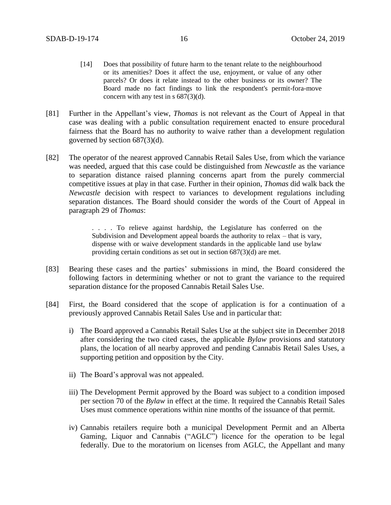- [14] Does that possibility of future harm to the tenant relate to the neighbourhood or its amenities? Does it affect the use, enjoyment, or value of any other parcels? Or does it relate instead to the other business or its owner? The Board made no fact findings to link the respondent's permit-fora-move concern with any test in s 687(3)(d).
- [81] Further in the Appellant's view, *Thomas* is not relevant as the Court of Appeal in that case was dealing with a public consultation requirement enacted to ensure procedural fairness that the Board has no authority to waive rather than a development regulation governed by section 687(3)(d).
- [82] The operator of the nearest approved Cannabis Retail Sales Use, from which the variance was needed, argued that this case could be distinguished from *Newcastle* as the variance to separation distance raised planning concerns apart from the purely commercial competitive issues at play in that case. Further in their opinion, *Thomas* did walk back the *Newcastle* decision with respect to variances to development regulations including separation distances. The Board should consider the words of the Court of Appeal in paragraph 29 of *Thomas*:

. . . . To relieve against hardship, the Legislature has conferred on the Subdivision and Development appeal boards the authority to relax – that is vary, dispense with or waive development standards in the applicable land use bylaw providing certain conditions as set out in section 687(3)(d) are met.

- [83] Bearing these cases and the parties' submissions in mind, the Board considered the following factors in determining whether or not to grant the variance to the required separation distance for the proposed Cannabis Retail Sales Use.
- [84] First, the Board considered that the scope of application is for a continuation of a previously approved Cannabis Retail Sales Use and in particular that:
	- i) The Board approved a Cannabis Retail Sales Use at the subject site in December 2018 after considering the two cited cases, the applicable *Bylaw* provisions and statutory plans, the location of all nearby approved and pending Cannabis Retail Sales Uses, a supporting petition and opposition by the City.
	- ii) The Board's approval was not appealed.
	- iii) The Development Permit approved by the Board was subject to a condition imposed per section 70 of the *Bylaw* in effect at the time. It required the Cannabis Retail Sales Uses must commence operations within nine months of the issuance of that permit.
	- iv) Cannabis retailers require both a municipal Development Permit and an Alberta Gaming, Liquor and Cannabis ("AGLC") licence for the operation to be legal federally. Due to the moratorium on licenses from AGLC, the Appellant and many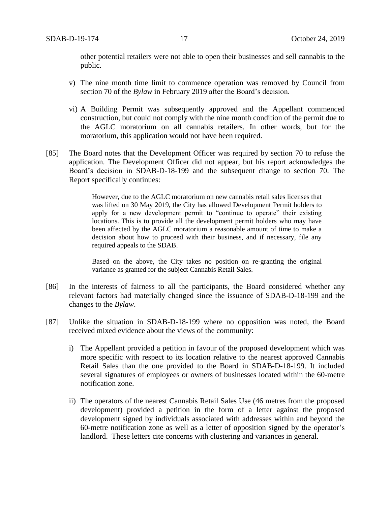other potential retailers were not able to open their businesses and sell cannabis to the public.

- v) The nine month time limit to commence operation was removed by Council from section 70 of the *Bylaw* in February 2019 after the Board's decision.
- vi) A Building Permit was subsequently approved and the Appellant commenced construction, but could not comply with the nine month condition of the permit due to the AGLC moratorium on all cannabis retailers. In other words, but for the moratorium, this application would not have been required.
- [85] The Board notes that the Development Officer was required by section 70 to refuse the application. The Development Officer did not appear, but his report acknowledges the Board's decision in SDAB-D-18-199 and the subsequent change to section 70. The Report specifically continues:

However, due to the AGLC moratorium on new cannabis retail sales licenses that was lifted on 30 May 2019, the City has allowed Development Permit holders to apply for a new development permit to "continue to operate" their existing locations. This is to provide all the development permit holders who may have been affected by the AGLC moratorium a reasonable amount of time to make a decision about how to proceed with their business, and if necessary, file any required appeals to the SDAB.

Based on the above, the City takes no position on re-granting the original variance as granted for the subject Cannabis Retail Sales.

- [86] In the interests of fairness to all the participants, the Board considered whether any relevant factors had materially changed since the issuance of SDAB-D-18-199 and the changes to the *Bylaw*.
- [87] Unlike the situation in SDAB-D-18-199 where no opposition was noted, the Board received mixed evidence about the views of the community:
	- i) The Appellant provided a petition in favour of the proposed development which was more specific with respect to its location relative to the nearest approved Cannabis Retail Sales than the one provided to the Board in SDAB-D-18-199. It included several signatures of employees or owners of businesses located within the 60-metre notification zone.
	- ii) The operators of the nearest Cannabis Retail Sales Use (46 metres from the proposed development) provided a petition in the form of a letter against the proposed development signed by individuals associated with addresses within and beyond the 60-metre notification zone as well as a letter of opposition signed by the operator's landlord. These letters cite concerns with clustering and variances in general.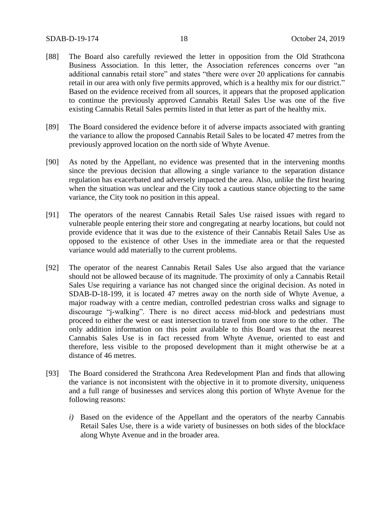- [88] The Board also carefully reviewed the letter in opposition from the Old Strathcona Business Association. In this letter, the Association references concerns over "an additional cannabis retail store" and states "there were over 20 applications for cannabis retail in our area with only five permits approved, which is a healthy mix for our district." Based on the evidence received from all sources, it appears that the proposed application to continue the previously approved Cannabis Retail Sales Use was one of the five existing Cannabis Retail Sales permits listed in that letter as part of the healthy mix.
- [89] The Board considered the evidence before it of adverse impacts associated with granting the variance to allow the proposed Cannabis Retail Sales to be located 47 metres from the previously approved location on the north side of Whyte Avenue.
- [90] As noted by the Appellant, no evidence was presented that in the intervening months since the previous decision that allowing a single variance to the separation distance regulation has exacerbated and adversely impacted the area. Also, unlike the first hearing when the situation was unclear and the City took a cautious stance objecting to the same variance, the City took no position in this appeal.
- [91] The operators of the nearest Cannabis Retail Sales Use raised issues with regard to vulnerable people entering their store and congregating at nearby locations, but could not provide evidence that it was due to the existence of their Cannabis Retail Sales Use as opposed to the existence of other Uses in the immediate area or that the requested variance would add materially to the current problems.
- [92] The operator of the nearest Cannabis Retail Sales Use also argued that the variance should not be allowed because of its magnitude. The proximity of only a Cannabis Retail Sales Use requiring a variance has not changed since the original decision. As noted in SDAB-D-18-199, it is located 47 metres away on the north side of Whyte Avenue, a major roadway with a centre median, controlled pedestrian cross walks and signage to discourage "j-walking". There is no direct access mid-block and pedestrians must proceed to either the west or east intersection to travel from one store to the other. The only addition information on this point available to this Board was that the nearest Cannabis Sales Use is in fact recessed from Whyte Avenue, oriented to east and therefore, less visible to the proposed development than it might otherwise be at a distance of 46 metres.
- [93] The Board considered the Strathcona Area Redevelopment Plan and finds that allowing the variance is not inconsistent with the objective in it to promote diversity, uniqueness and a full range of businesses and services along this portion of Whyte Avenue for the following reasons:
	- *i)* Based on the evidence of the Appellant and the operators of the nearby Cannabis Retail Sales Use, there is a wide variety of businesses on both sides of the blockface along Whyte Avenue and in the broader area.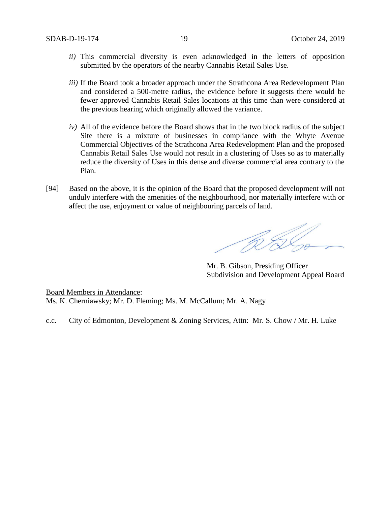- *ii)* This commercial diversity is even acknowledged in the letters of opposition submitted by the operators of the nearby Cannabis Retail Sales Use.
- *iii*) If the Board took a broader approach under the Strathcona Area Redevelopment Plan and considered a 500-metre radius, the evidence before it suggests there would be fewer approved Cannabis Retail Sales locations at this time than were considered at the previous hearing which originally allowed the variance.
- *iv)* All of the evidence before the Board shows that in the two block radius of the subject Site there is a mixture of businesses in compliance with the Whyte Avenue Commercial Objectives of the Strathcona Area Redevelopment Plan and the proposed Cannabis Retail Sales Use would not result in a clustering of Uses so as to materially reduce the diversity of Uses in this dense and diverse commercial area contrary to the Plan.
- [94] Based on the above, it is the opinion of the Board that the proposed development will not unduly interfere with the amenities of the neighbourhood, nor materially interfere with or affect the use, enjoyment or value of neighbouring parcels of land.

R S

Mr. B. Gibson, Presiding Officer Subdivision and Development Appeal Board

Board Members in Attendance: Ms. K. Cherniawsky; Mr. D. Fleming; Ms. M. McCallum; Mr. A. Nagy

c.c. City of Edmonton, Development & Zoning Services, Attn: Mr. S. Chow / Mr. H. Luke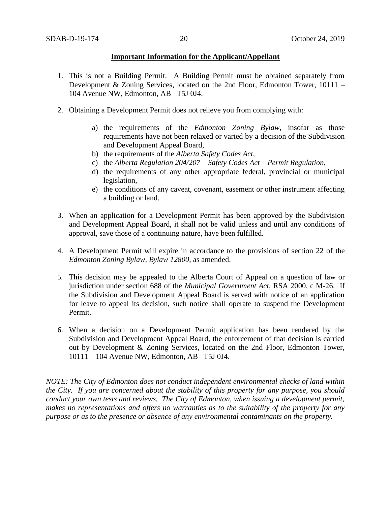#### **Important Information for the Applicant/Appellant**

- 1. This is not a Building Permit. A Building Permit must be obtained separately from Development & Zoning Services, located on the 2nd Floor, Edmonton Tower, 10111 – 104 Avenue NW, Edmonton, AB T5J 0J4.
- 2. Obtaining a Development Permit does not relieve you from complying with:
	- a) the requirements of the *Edmonton Zoning Bylaw*, insofar as those requirements have not been relaxed or varied by a decision of the Subdivision and Development Appeal Board,
	- b) the requirements of the *Alberta Safety Codes Act*,
	- c) the *Alberta Regulation 204/207 – Safety Codes Act – Permit Regulation*,
	- d) the requirements of any other appropriate federal, provincial or municipal legislation,
	- e) the conditions of any caveat, covenant, easement or other instrument affecting a building or land.
- 3. When an application for a Development Permit has been approved by the Subdivision and Development Appeal Board, it shall not be valid unless and until any conditions of approval, save those of a continuing nature, have been fulfilled.
- 4. A Development Permit will expire in accordance to the provisions of section 22 of the *Edmonton Zoning Bylaw, Bylaw 12800*, as amended.
- 5. This decision may be appealed to the Alberta Court of Appeal on a question of law or jurisdiction under section 688 of the *Municipal Government Act*, RSA 2000, c M-26. If the Subdivision and Development Appeal Board is served with notice of an application for leave to appeal its decision, such notice shall operate to suspend the Development Permit.
- 6. When a decision on a Development Permit application has been rendered by the Subdivision and Development Appeal Board, the enforcement of that decision is carried out by Development & Zoning Services, located on the 2nd Floor, Edmonton Tower, 10111 – 104 Avenue NW, Edmonton, AB T5J 0J4.

*NOTE: The City of Edmonton does not conduct independent environmental checks of land within the City. If you are concerned about the stability of this property for any purpose, you should conduct your own tests and reviews. The City of Edmonton, when issuing a development permit, makes no representations and offers no warranties as to the suitability of the property for any purpose or as to the presence or absence of any environmental contaminants on the property.*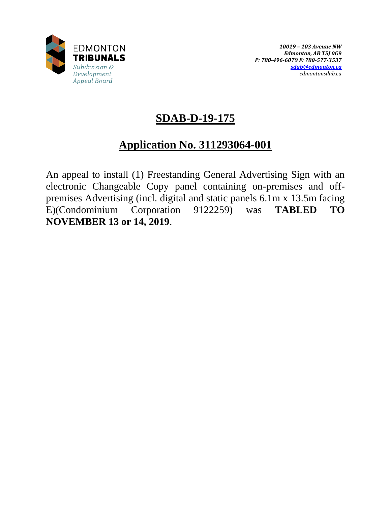

# **SDAB-D-19-175**

# **Application No. 311293064-001**

An appeal to install (1) Freestanding General Advertising Sign with an electronic Changeable Copy panel containing on-premises and offpremises Advertising (incl. digital and static panels 6.1m x 13.5m facing E)(Condominium Corporation 9122259) was **TABLED TO NOVEMBER 13 or 14, 2019**.